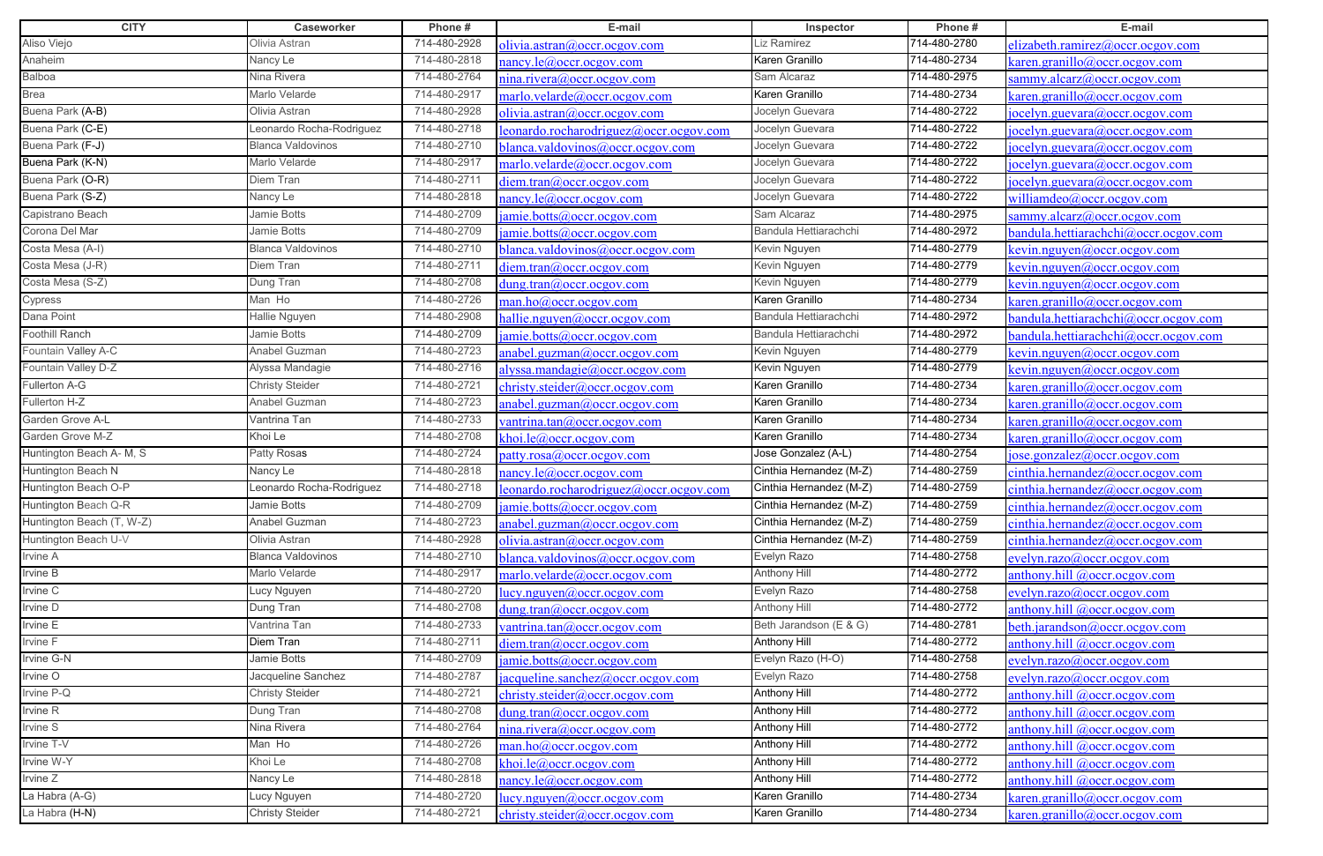| <b>CITY</b>               | Caseworker               | Phone#       | E-mail                                                  | Inspector               | Phone#       | E-mail                                    |
|---------------------------|--------------------------|--------------|---------------------------------------------------------|-------------------------|--------------|-------------------------------------------|
| Aliso Viejo               | Olivia Astran            | 714-480-2928 | <u>olivia.astran@occr.ocgov.com</u>                     | Liz Ramirez             | 714-480-2780 | elizabeth.ramirez@occr.ocgov.com          |
| Anaheim                   | Nancy Le                 | 714-480-2818 | nancy.le@occr.ocgov.com                                 | Karen Granillo          | 714-480-2734 | karen.granillo@occr.ocgov.com             |
| Balboa                    | Nina Rivera              | 714-480-2764 | nina.rivera@occr.ocgov.com                              | Sam Alcaraz             | 714-480-2975 | sammy.alcarz@occr.ocgov.com               |
| Brea                      | Marlo Velarde            | 714-480-2917 | marlo <u>.velarde@occr.ocgov.com</u>                    | Karen Granillo          | 714-480-2734 | saren.granillo@occr.ocgov.com             |
| Buena Park (A-B)          | Olivia Astran            | 714-480-2928 | olivia.astran@occr.ocgov.com                            | Jocelyn Guevara         | 714-480-2722 | [ocelyn.guevara@occr.ocgov.com]           |
| Buena Park (C-E)          | Leonardo Rocha-Rodriguez | 714-480-2718 | eonardo.rocharodriguez@occr.ocgov.com                   | Jocelyn Guevara         | 714-480-2722 | ocelyn.guevara@occr.ocgov.com             |
| Buena Park (F-J)          | <b>Blanca Valdovinos</b> | 714-480-2710 | blanca.valdovinos@occr.ocgov.com                        | Jocelyn Guevara         | 714-480-2722 | $ oce $ yn.guevara@occr.ocgov.com         |
| Buena Park (K-N)          | Marlo Velarde            | 714-480-2917 | marlo.velarde@occr.ocgov.com                            | Jocelyn Guevara         | 714-480-2722 | [ocelyn.guevara@occr.ocgov.com]           |
| Buena Park (O-R)          | Diem Tran                | 714-480-2711 | diem.tran@occr.ocgov.com                                | Jocelyn Guevara         | 714-480-2722 | ocelyn.guevara@occr.ocgov.com             |
| Buena Park (S-Z)          | Nancy Le                 | 714-480-2818 | nancy.le@occr.ocgov.com                                 | Jocelyn Guevara         | 714-480-2722 | williamdeo@occr.ocgov.com                 |
| Capistrano Beach          | Jamie Botts              | 714-480-2709 | amie.botts@occr.ocgov.com                               | Sam Alcaraz             | 714-480-2975 | ammy.alcarz@occr.ocgov.com                |
| Corona Del Mar            | Jamie Botts              | 714-480-2709 | amie.botts@occr.ocgov.com                               | Bandula Hettiarachchi   | 714-480-2972 | vandula.hettiarachchi@occr.ocgov.com      |
| Costa Mesa (A-I)          | <b>Blanca Valdovinos</b> | 714-480-2710 | blanca.valdovinos@occr.ocgov.com                        | Kevin Nguyen            | 714-480-2779 | kevin.nguyen@occr.ocgov.com               |
| Costa Mesa (J-R)          | Diem Tran                | 714-480-2711 | diem.tran@occr.ocgov.com                                | Kevin Nguyen            | 714-480-2779 | <u>kevin.nguyen@occr.ocgov.com</u>        |
| Costa Mesa (S-Z)          | Dung Tran                | 714-480-2708 | dung.tran@occr.ocgov.com                                | Kevin Nguyen            | 714-480-2779 | kevin.nguyen@occr.ocgov.com               |
| Cypress                   | Man Ho                   | 714-480-2726 | man.ho@occr.ocgov.com                                   | Karen Granillo          | 714-480-2734 | caren.granillo@occr.ocgov.com             |
| Dana Point                | <b>Hallie Nguyen</b>     | 714-480-2908 | hallie.nguyen@occr.ocgov.com                            | Bandula Hettiarachchi   | 714-480-2972 | pandula.hettiarachchi@occr.ocgov.com      |
| Foothill Ranch            | Jamie Botts              | 714-480-2709 | jamie.botts@occr.ocgov.com                              | Bandula Hettiarachchi   | 714-480-2972 | pandula.hettiarachchi@occr.ocgov.com      |
| Fountain Valley A-C       | Anabel Guzman            | 714-480-2723 | anabel.guzman@occr.ocgov.com                            | Kevin Nguyen            | 714-480-2779 | <u>cevin.nguyen@occr.ocgov.com</u>        |
| Fountain Valley D-Z       | Alyssa Mandagie          | 714-480-2716 | alyssa.mandagie@occr.ocgov.com                          | Kevin Nguyen            | 714-480-2779 | $\epsilon$ evin.nguyen@occr.ocgov.com     |
| Fullerton A-G             | <b>Christy Steider</b>   | 714-480-2721 | christy.steider@occr.ocgov.com                          | Karen Granillo          | 714-480-2734 | <u>caren.granillo@occr.ocgov.com</u>      |
| Fullerton H-Z             | Anabel Guzman            | 714-480-2723 | anabel.guzman@occr.ocgov.com                            | Karen Granillo          | 714-480-2734 | karen.granillo@occr.ocgov.com             |
| Garden Grove A-L          | Vantrina Tan             | 714-480-2733 | vantrina.tan@occr.ocgov.com                             | Karen Granillo          | 714-480-2734 | $\kappa$ aren.granillo@occr.ocgov.com     |
| Garden Grove M-Z          | Khoi Le                  | 714-480-2708 | choi.le@occr.ocgov.com                                  | Karen Granillo          | 714-480-2734 | caren.granillo@occr.ocgov.com             |
| Huntington Beach A- M, S  | Patty Rosas              | 714-480-2724 | patty.rosa@occr.ocgov.com                               | Jose Gonzalez (A-L)     | 714-480-2754 | $\frac{1}{2}$ ose.gonzalez@occr.ocgov.com |
| Huntington Beach N        | Nancy Le                 | 714-480-2818 | <u>ancy.le@occr.ocgov.com</u>                           | Cinthia Hernandez (M-Z) | 714-480-2759 | einthia.hernandez@occr.ocgov.com          |
| Huntington Beach O-P      | Leonardo Rocha-Rodriguez | 714-480-2718 | leonardo.rocharodriguez@occr.ocgov.com                  | Cinthia Hernandez (M-Z) | 714-480-2759 | einthia.hernandez@occr.ocgov.com          |
| Huntington Beach Q-R      | Jamie Botts              | 714-480-2709 | jamie.botts@occr.ocgov.com                              | Cinthia Hernandez (M-Z) | 714-480-2759 | cinthia. hernandez@occr.ocgov.com         |
| Huntington Beach (T, W-Z) | Anabel Guzman            | 714-480-2723 | anabel.guzman@occr.ocgov.com                            | Cinthia Hernandez (M-Z) | 714-480-2759 | cinthia.hernandez@occr. ocgov.com         |
| Huntington Beach U-V      | Olivia Astran            | 714-480-2928 | olivia.astran@occr.ocgov.com                            | Cinthia Hernandez (M-Z) | 714-480-2759 | einthia.hernandez@occr.ocgov.com          |
| Irvine A                  | <b>Blanca Valdovinos</b> | 714-480-2710 | <u>blanca.valdovinos@occr.ocgov.com</u>                 | Evelyn Razo             | 714-480-2758 | evelyn.razo@occr.ocgov.com                |
| Irvine B                  | Marlo Velarde            | 714-480-2917 | marlo.velarde@occr.ocgov.com                            | <b>Anthony Hill</b>     | 714-480-2772 | anthony.hill $@occr. ocgov.com$           |
| Irvine C                  | Lucy Nguyen              | 714-480-2720 | lucy.nguyen@occr.ocgov.com                              | Evelyn Razo             | 714-480-2758 | evelyn.razo@occr.ocgov.com                |
| Irvine D                  | Dung Tran                | 714-480-2708 | <u>dung.tran@occr.ocgov.com</u>                         | Anthony Hill            | 714-480-2772 | anthony.hill @occr.ocgov.com              |
| Irvine E                  | Vantrina Tan             | 714-480-2733 | vantrina.tan@occr.ocgov.com                             | Beth Jarandson (E & G)  | 714-480-2781 | beth.jarandson@occr.ocgov.com             |
| Irvine F                  | Diem Tran                | 714-480-2711 | diem.tran@occr.ocgov.com                                | Anthony Hill            | 714-480-2772 | anthony.hill @occr.ocgov.com              |
| Irvine G-N                | Jamie Botts              | 714-480-2709 | amie.botts@occr.ocgov.com                               | Evelyn Razo (H-O)       | 714-480-2758 | $e$ velyn.razo@occr.ocgov.com             |
| Irvine O                  | Jacqueline Sanchez       | 714-480-2787 | $\alpha$ acqueline.sanchez@occr.ocgov.com               | Evelyn Razo             | 714-480-2758 | $e$ velyn.razo@occr.ocgov.com             |
| Irvine P-Q                | <b>Christy Steider</b>   | 714-480-2721 | christy.steider@occr.ocgov.com                          | <b>Anthony Hill</b>     | 714-480-2772 | anthony.hill @occr.ocgov.com              |
| Irvine R                  | Dung Tran                | 714-480-2708 | dung.tran@occr.ocgov.com                                | <b>Anthony Hill</b>     | 714-480-2772 | anthony.hill $@occr. ocgov.com$           |
| Irvine S                  | Nina Rivera              | 714-480-2764 | nina.rivera@occr. ocgov.com                             | <b>Anthony Hill</b>     | 714-480-2772 | anthony.hill @occr.ocgov.com              |
| Irvine T-V                | Man Ho                   | 714-480-2726 | man.ho@occr.ocgov.com                                   | <b>Anthony Hill</b>     | 714-480-2772 | anthony.hill $@occr. ocgov.com$           |
| Irvine W-Y                | Khoi Le                  | 714-480-2708 | khoi.le@occr.ocgov.com                                  | <b>Anthony Hill</b>     | 714-480-2772 | anthony.hill @occr.ocgov.com              |
| Irvine Z                  | Nancy Le                 | 714-480-2818 | nancy.le@occr.ocgov.com                                 | <b>Anthony Hill</b>     | 714-480-2772 | anthony.hill @occr.ocgov.com              |
| La Habra (A-G)            | Lucy Nguyen              | 714-480-2720 | $\frac{\text{lucy.nguyen}(a) \text{occr.ocgov.com}}{a}$ | Karen Granillo          | 714-480-2734 | $\alpha$ aren.granillo@occr.ocgov.com     |
| La Habra (H-N)            | <b>Christy Steider</b>   | 714-480-2721 | christy.steider@occr.ocgov.com                          | Karen Granillo          | 714-480-2734 | caren.granillo@occr.ocgov.com             |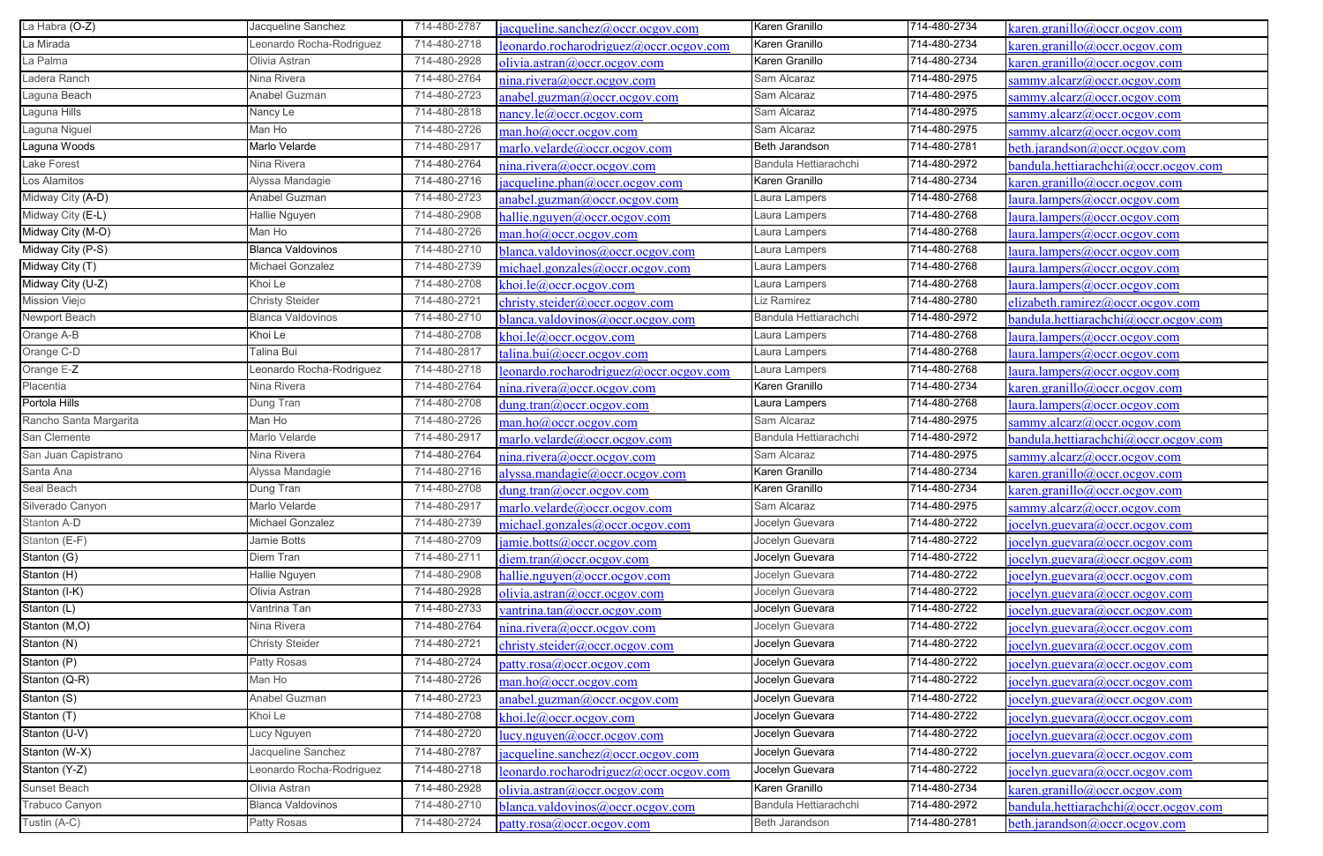| La Habra (O-Z)                   | Jacqueline Sanchez       | 714-480-2787 | acqueline.sanchez@occr.ocgov.com      | Karen Granillo        | 714-480-2734 | saren.granillo@occr.ocgov.com              |
|----------------------------------|--------------------------|--------------|---------------------------------------|-----------------------|--------------|--------------------------------------------|
| La Mirada                        | Leonardo Rocha-Rodriguez | 714-480-2718 | eonardo.rocharodriguez@occr.ocgov.com | Karen Granillo        | 714-480-2734 | karen.granillo@occr.ocgov.com              |
| La Palma                         | Olivia Astran            | 714-480-2928 | olivia.astran@occr.ocgov.com          | Karen Granillo        | 714-480-2734 | $\frac{1}{2}$ aren.granillo@occr.ocgov.com |
| Ladera Ranch                     | Nina Rivera              | 714-480-2764 | nina.rivera@occr.ocgov.com            | Sam Alcaraz           | 714-480-2975 | sammy.alcarz@occr.ocgov.com                |
| Laguna Beach                     | Anabel Guzman            | 714-480-2723 | anabel.guzman@occr.ocgov.com          | Sam Alcaraz           | 714-480-2975 | sammy.alcarz@occr.ocgov.com                |
| Laguna Hills                     | Nancy Le                 | 714-480-2818 | nancy.le@occr.ocgov.com               | Sam Alcaraz           | 714-480-2975 | sammy.alcarz@occr.ocgov.com                |
| Laguna Niguel                    | Man Ho                   | 714-480-2726 | man.ho@occr.ocgov.com                 | Sam Alcaraz           | 714-480-2975 | sammy.alcarz@occr.ocgov.com                |
| Laguna Woods                     | Marlo Velarde            | 714-480-2917 | marlo.velarde@occr.ocgov.com          | Beth Jarandson        | 714-480-2781 | beth.jarandson@occr.ocgov.com              |
| Lake Forest                      | Nina Rivera              | 714-480-2764 | nina.rivera@occr.ocgov.com            | Bandula Hettiarachchi | 714-480-2972 | bandula.hettiarachchi@occr.ocgov.com       |
| Los Alamitos                     | Alyssa Mandagie          | 714-480-2716 | acqueline.phan@occr.ocgov.com         | Karen Granillo        | 714-480-2734 | caren.granillo@occr.ocgov.com              |
| Midway City (A-D)                | Anabel Guzman            | 714-480-2723 | anabel.guzman@occr.ocgov.com          | Laura Lampers         | 714-480-2768 | aura.lampers@occr.ocgov.com                |
| Midway City (E-L)                | Hallie Nguyen            | 714-480-2908 | nallie.nguyen@occr.ocgov.com          | Laura Lampers         | 714-480-2768 | laura.lampers@occr.ocgov.com               |
| Midway City (M-O)                | Man Ho                   | 714-480-2726 | man.ho@occr.ocgov.com                 | Laura Lampers         | 714-480-2768 | laura.lampers@occr.ocgov.com               |
| Midway City (P-S)                | <b>Blanca Valdovinos</b> | 714-480-2710 | blanca.valdovinos@occr.ocgov.com      | Laura Lampers         | 714-480-2768 | laura.lampers@occr.ocgov.com               |
| Midway City (T)                  | Michael Gonzalez         | 714-480-2739 | michael.gonzales@occr.ocgov.com       | Laura Lampers         | 714-480-2768 | laura.lampers@occr.ocgov.com               |
| Midway City (U-Z)                | Khoi Le                  | 714-480-2708 | khoi.le@occr.ocgov.com                | Laura Lampers         | 714-480-2768 | laura.lampers@occr.ocgov.com               |
| Mission Viejo                    | <b>Christy Steider</b>   | 714-480-2721 | christy.steider@occr.ocgov.com        | Liz Ramirez           | 714-480-2780 | elizabeth.ramirez@occr.ocgov.com           |
| Newport Beach                    | <b>Blanca Valdovinos</b> | 714-480-2710 | blanca.valdovinos@occr.ocgov.com      | Bandula Hettiarachchi | 714-480-2972 | bandula.hettiarachchi@occr.ocgov.com       |
| Orange A-B                       | Khoi Le                  | 714-480-2708 | khoi.le@occr.ocgov.com                | Laura Lampers         | 714-480-2768 | laura.lampers@occr.ocgov.com               |
| Orange C-D                       | Talina Bui               | 714-480-2817 | calina.bui@occr.ocgov.com             | Laura Lampers         | 714-480-2768 | laura.lampers@occr.ocgov.com               |
| Orange E-Z                       | Leonardo Rocha-Rodriguez | 714-480-2718 | eonardo.rocharodriguez@occr.ocgov.com | Laura Lampers         | 714-480-2768 | laura.lampers@occr.ocgov.com               |
| Placentia                        | Nina Rivera              | 714-480-2764 | nina.rivera@occr.ocgov.com            | Karen Granillo        | 714-480-2734 | <u>caren.granillo@occr.ocgov.com</u>       |
| Portola Hills                    | Dung Tran                | 714-480-2708 | dung.tran@occr.ocgov.com              | Laura Lampers         | 714-480-2768 | laura.lampers@occr.ocgov.com               |
| Rancho Santa Margarita           | Man Ho                   | 714-480-2726 | man.ho@occr. ocgov.com                | Sam Alcaraz           | 714-480-2975 | sammy.alcarz@occr.ocgov.com                |
| San Clemente                     | Marlo Velarde            | 714-480-2917 | marlo.velarde@occr.ocgov.com          | Bandula Hettiarachchi | 714-480-2972 | bandula.hettiarachchi@occr.ocgov.com       |
| San Juan Capistrano              | Nina Rivera              | 714-480-2764 | nina.rivera@occr.ocgov.com            | Sam Alcaraz           | 714-480-2975 | sammy.alcarz@occr.ocgov.com                |
| Santa Ana                        | Alyssa Mandagie          | 714-480-2716 | alyssa.mandagie@occr.ocgov.com        | Karen Granillo        | 714-480-2734 | $\alpha$ aren.granillo@occr.ocgov.com      |
| Seal Beach                       | Dung Tran                | 714-480-2708 | dung.tran@occr.ocgov.com              | Karen Granillo        | 714-480-2734 | $\alpha$ aren.granillo@occr.ocgov.com      |
| Silverado Canyon                 | Marlo Velarde            | 714-480-2917 | marlo.velarde@occr.ocgov.com          | Sam Alcaraz           | 714-480-2975 | sammy.alcarz@occr.ocgov.com                |
| Stanton A-D                      | Michael Gonzalez         | 714-480-2739 | michael.gonzales@occr.ocgov.com       | Jocelyn Guevara       | 714-480-2722 | jocelyn.guevara@occr.ocgov.com             |
| Stanton (E-F)                    | Jamie Botts              | 714-480-2709 | amie.botts@occr.ocgov.com             | Jocelyn Guevara       | 714-480-2722 | jocelyn.guevara@occr.ocgov.com             |
| Stanton (G)                      | Diem Tran                | 714-480-2711 | diem.tran@occr.ocgov.com              | Jocelyn Guevara       | 714-480-2722 | jocelyn.guevara@occr.ocgov.com             |
| Stanton (H)                      | Hallie Nguyen            | 714-480-2908 | hallie.nguyen@occr.ocgov.com          | Jocelyn Guevara       | 714-480-2722 | jocelyn.guevara@occr.ocgov.com             |
| Stanton (I-K)                    | Olivia Astran            | 714-480-2928 | olivia.astran@occr.ocgov.com          | Jocelyn Guevara       | 714-480-2722 | jocelyn.guevara@occr.ocgov.com             |
| $\overline{\mathsf{Stanton}}(L)$ | Vantrina Tan             | 714-480-2733 | vantrina.tan@occr.ocgov.com           | Jocelyn Guevara       | 714-480-2722 | jocelyn.guevara@occr.ocgov.com             |
| Stanton (M,O)                    | Nina Rivera              | 714-480-2764 | $n$ ina.rivera $(a)$ occr.ocgov.com   | Jocelyn Guevara       | 714-480-2722 | jocelyn.guevara@occr.ocgov.com             |
| Stanton (N)                      | <b>Christy Steider</b>   | 714-480-2721 | christy.steider@occr.ocgov.com        | Jocelyn Guevara       | 714-480-2722 | jocelyn.guevara@occr.ocgov.com             |
| Stanton (P)                      | Patty Rosas              | 714-480-2724 | patty.rosa@occr.ocgov.com             | Jocelyn Guevara       | 714-480-2722 | [iocelyn.guevara@occr. ocgov.com]          |
| Stanton (Q-R)                    | Man Ho                   | 714-480-2726 | man.ho@occr. ocgov.com                | Jocelyn Guevara       | 714-480-2722 | jocelyn.guevara@occr.ocgov.com             |
| Stanton (S)                      | Anabel Guzman            | 714-480-2723 | anabel.guzman@occr.ocgov.com          | Jocelyn Guevara       | 714-480-2722 | jocelyn.guevara@occr.ocgov.com             |
| Stanton (T)                      | Khoi Le                  | 714-480-2708 | choi.le@occr.ocgov.com                | Jocelyn Guevara       | 714-480-2722 | jocelyn.guevara@occr.ocgov.com             |
| Stanton (U-V)                    | Lucy Nguyen              | 714-480-2720 | lucy.nguyen@occr.ocgov.com            | Jocelyn Guevara       | 714-480-2722 | jocelyn.guevara@occr.ocgov.com             |
| Stanton (W-X)                    | Jacqueline Sanchez       | 714-480-2787 | acqueline.sanchez@occr.ocgov.com      | Jocelyn Guevara       | 714-480-2722 | jocelyn.guevara@occr.ocgov.com             |
| Stanton (Y-Z)                    | Leonardo Rocha-Rodriguez | 714-480-2718 | eonardo.rocharodriguez@occr.ocgov.com | Jocelyn Guevara       | 714-480-2722 | jocelyn.guevara@occr.ocgov.com             |
| Sunset Beach                     | Olivia Astran            | 714-480-2928 | olivia.astran@occr.ocgov.com          | Karen Granillo        | 714-480-2734 | $\kappa$ aren.granillo@occr.ocgov.com      |
| Trabuco Canyon                   | <b>Blanca Valdovinos</b> | 714-480-2710 | blanca.valdovinos@occr.ocgov.com      | Bandula Hettiarachchi | 714-480-2972 | bandula.hettiarachchi@occr.ocgov.com       |
| Tustin (A-C)                     | Patty Rosas              | 714-480-2724 | patty.rosa@occr.ocgov.com             | Beth Jarandson        | 714-480-2781 | beth.jarandson@occr.ocgov.com              |